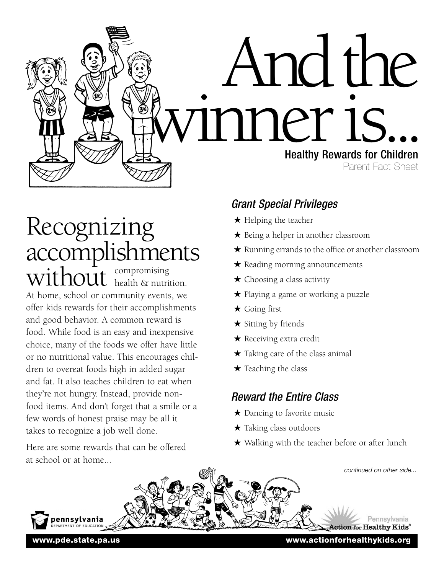

# compromising health & nutrition. At home, school or community events, we offer kids rewards for their accomplishments and good behavior. A common reward is food. While food is an easy and inexpensive choice, many of the foods we offer have little Recognizing accomplishments without

or no nutritional value. This encourages children to overeat foods high in added sugar and fat. It also teaches children to eat when they're not hungry. Instead, provide nonfood items. And don't forget that a smile or a few words of honest praise may be all it takes to recognize a job well done.

Here are some rewards that can be offered at school or at home...

# *Grant Special Privileges*

- ★ Helping the teacher
- ★ Being a helper in another classroom
- ★ Running errands to the office or another classroom
- ★ Reading morning announcements
- $\star$  Choosing a class activity
- ★ Playing a game or working a puzzle
- ★ Going first
- ★ Sitting by friends
- ★ Receiving extra credit
- $\star$  Taking care of the class animal
- $\star$  Teaching the class

# *Reward the Entire Class*

- ★ Dancing to favorite music
- $\star$  Taking class outdoors
- ★ Walking with the teacher before or after lunch

*continued on other side...* pennsylvania Pennsylvania ction for Healthy Kids®

**www.pde.state.pa.us www.actionforhealthykids.org**